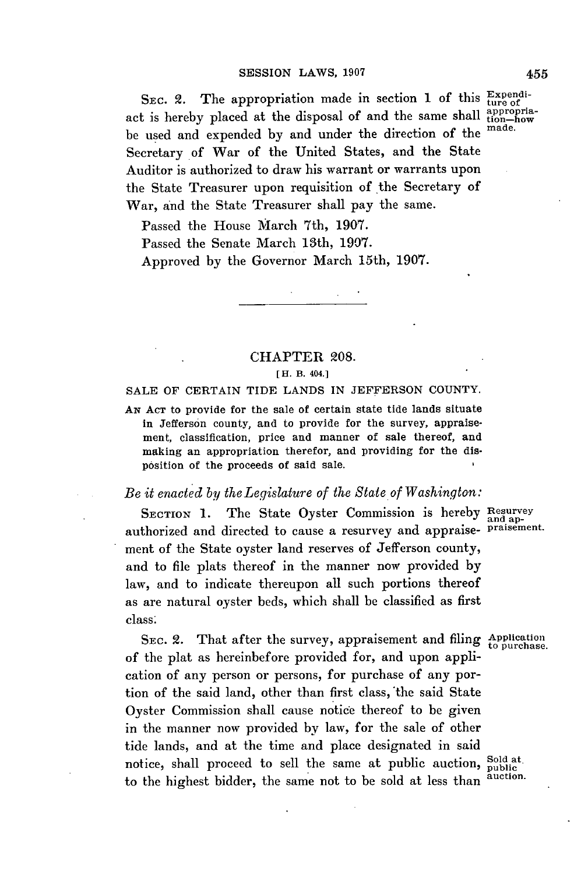SEC. 2. The appropriation made in section 1 of this Expendiact is hereby placed at the disposal of and the same shall  $_{\text{top}-\text{how}}^{\text{approx}}$ be used and expended **by** and under the direction of the made. Secretary of War of the United States, and the State Auditor is authorized to draw his warrant or warrants upon the State Treasurer upon requisition of the Secretary of War, and the State Treasurer shall pay the same.

Passed the House March 7th, **1907.**

Passed the Senate March 13th, **1907.**

Approved **by** the Governor March 15th, **1907.**

## CHAPTER **208.**

## **[ H. B. 404.]**

**SALE** OF **CERTAIN** TIDE **LANDS** IN **JEFFERSON COUNTY.**

**AN ACT** to provide for the sale of certain state tide lands situate in Jefferson county, and to provide for the survey, appraisement, classification, price and manner of sale thereof, and making an appropriation therefor, and providing for the disposition of the proceeds of said sale.

## *Be it enacted by theLegislature of the State of Washington:*

SECTION 1. The State Oyster Commission is hereby Resurvey authorized and directed to cause a resurvey and appraise- praisement. ment of the State oyster land reserves of Jefferson county, and to file plats thereof in the manner now provided **by** law, and to indicate thereupon all such portions thereof as are natural oyster beds, which shall be classified as first class'

SEC. 2. That after the survey, appraisement and filing  $_{\text{topurchase.}}^{ \text{Application}}$ of the plat as hereinbefore provided for, and upon application of any person or persons, for purchase of any portion of the said land, other than first class, the said State Oyster Commission shall cause notice thereof to be given in the manner now provided **by** law, for the sale of other tide lands, and at the time and place designated in said notice, shall proceed to sell the same at public auction, sold at the highest higher the same not to be sold at less than auction. to the highest bidder, the same not to be sold at less than

455